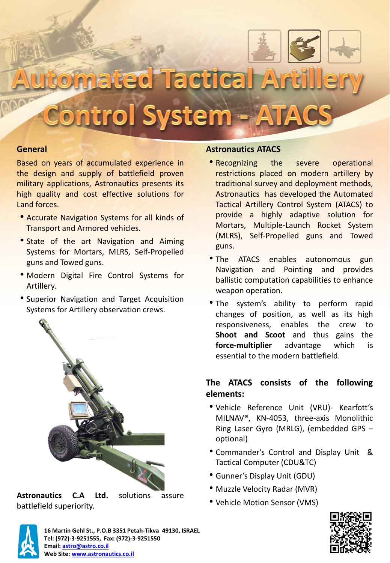

lated Tactical Ar

**Ontrol System - A** 

## **General**

Based on years of accumulated experience in the design and supply of battlefield proven military applications, Astronautics presents its high quality and cost effective solutions for Land forces.

- Accurate Navigation Systems for all kinds of Transport and Armored vehicles.
- State of the art Navigation and Aiming Systems for Mortars, MLRS, Self-Propelled guns and Towed guns.
- Modern Digital Fire Control Systems for Artillery.
- Superior Navigation and Target Acquisition Systems for Artillery observation crews.



**Astronautics C.A Ltd.** solutions assure battlefield superiority.

# **Astronautics ATACS**

- Recognizing the severe operational restrictions placed on modern artillery by traditional survey and deployment methods, Astronautics has developed the Automated Tactical Artillery Control System (ATACS) to provide a highly adaptive solution for Mortars, Multiple-Launch Rocket System (MLRS), Self-Propelled guns and Towed guns.
- The ATACS enables autonomous gun Navigation and Pointing and provides ballistic computation capabilities to enhance weapon operation.
- The system's ability to perform rapid changes of position, as well as its high responsiveness, enables the crew to **Shoot and Scoot** and thus gains the **force-multiplier** advantage which is essential to the modern battlefield.

# **The ATACS consists of the following elements:**

- Vehicle Reference Unit (VRU)- Kearfott's MILNAV®, KN-4053, three-axis Monolithic Ring Laser Gyro (MRLG), (embedded GPS – optional)
- Commander's Control and Display Unit & Tactical Computer (CDU&TC)
- Gunner's Display Unit (GDU)
- Muzzle Velocity Radar (MVR)
- Vehicle Motion Sensor (VMS)



**16 Martin Gehl St., P.O.B 3351 Petah-Tikva 49130, ISRAEL Tel: (972)-3-9251555, Fax: (972)-3-9251550 Email: [astro@astro.co.il](mailto:astro@astro.co.il) Web Site: [www.astronautics.co.il](http://www.astronautics.co.il/)**